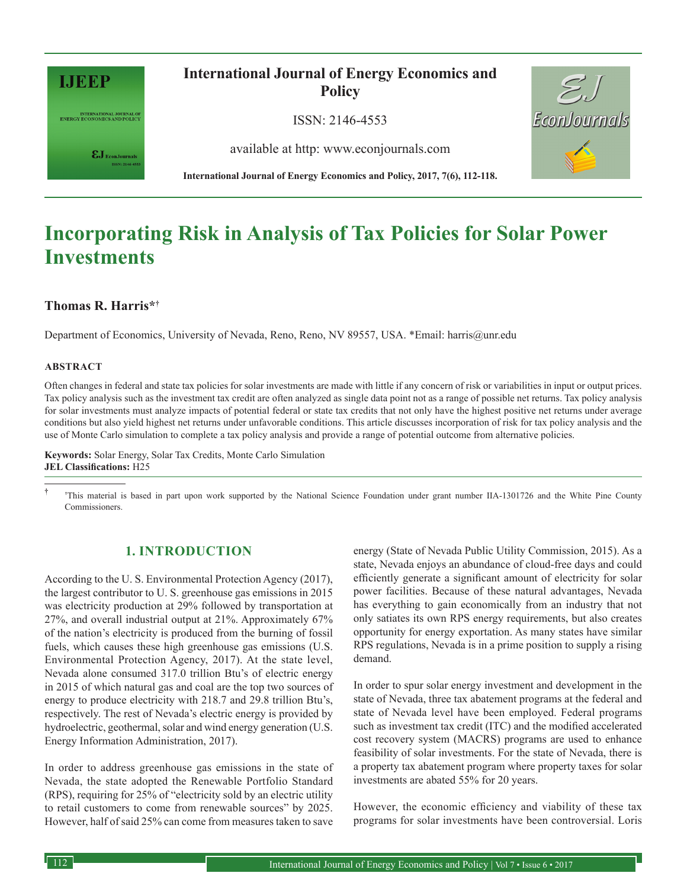

INTERNATIONAL JOURNAL OF RIVERGY ECONOMICS AND POLICY

 $\epsilon J_{\textrm{\tiny{EconJournals}}}$ 

# **International Journal of Energy Economics and Policy**

ISSN: 2146-4553

available at http: www.econjournals.com



# **Incorporating Risk in Analysis of Tax Policies for Solar Power Investments**

## **Thomas R. Harris\*†1**

Department of Economics, University of Nevada, Reno, Reno, NV 89557, USA. \*Email: harris@unr.edu

#### **ABSTRACT**

Often changes in federal and state tax policies for solar investments are made with little if any concern of risk or variabilities in input or output prices. Tax policy analysis such as the investment tax credit are often analyzed as single data point not as a range of possible net returns. Tax policy analysis for solar investments must analyze impacts of potential federal or state tax credits that not only have the highest positive net returns under average conditions but also yield highest net returns under unfavorable conditions. This article discusses incorporation of risk for tax policy analysis and the use of Monte Carlo simulation to complete a tax policy analysis and provide a range of potential outcome from alternative policies.

**Keywords:** Solar Energy, Solar Tax Credits, Monte Carlo Simulation **JEL Classifications:** H25

<sup>†</sup> <sup>†</sup>This material is based in part upon work supported by the National Science Foundation under grant number IIA-1301726 and the White Pine County Commissioners.

### **1. INTRODUCTION**

According to the U. S. Environmental Protection Agency (2017), the largest contributor to U. S. greenhouse gas emissions in 2015 was electricity production at 29% followed by transportation at 27%, and overall industrial output at 21%. Approximately 67% of the nation's electricity is produced from the burning of fossil fuels, which causes these high greenhouse gas emissions (U.S. Environmental Protection Agency, 2017). At the state level, Nevada alone consumed 317.0 trillion Btu's of electric energy in 2015 of which natural gas and coal are the top two sources of energy to produce electricity with 218.7 and 29.8 trillion Btu's, respectively. The rest of Nevada's electric energy is provided by hydroelectric, geothermal, solar and wind energy generation (U.S. Energy Information Administration, 2017).

In order to address greenhouse gas emissions in the state of Nevada, the state adopted the Renewable Portfolio Standard (RPS), requiring for 25% of "electricity sold by an electric utility to retail customers to come from renewable sources" by 2025. However, half of said 25% can come from measures taken to save

energy (State of Nevada Public Utility Commission, 2015). As a state, Nevada enjoys an abundance of cloud-free days and could efficiently generate a significant amount of electricity for solar power facilities. Because of these natural advantages, Nevada has everything to gain economically from an industry that not only satiates its own RPS energy requirements, but also creates opportunity for energy exportation. As many states have similar RPS regulations, Nevada is in a prime position to supply a rising demand.

EconJournals

In order to spur solar energy investment and development in the state of Nevada, three tax abatement programs at the federal and state of Nevada level have been employed. Federal programs such as investment tax credit (ITC) and the modified accelerated cost recovery system (MACRS) programs are used to enhance feasibility of solar investments. For the state of Nevada, there is a property tax abatement program where property taxes for solar investments are abated 55% for 20 years.

However, the economic efficiency and viability of these tax programs for solar investments have been controversial. Loris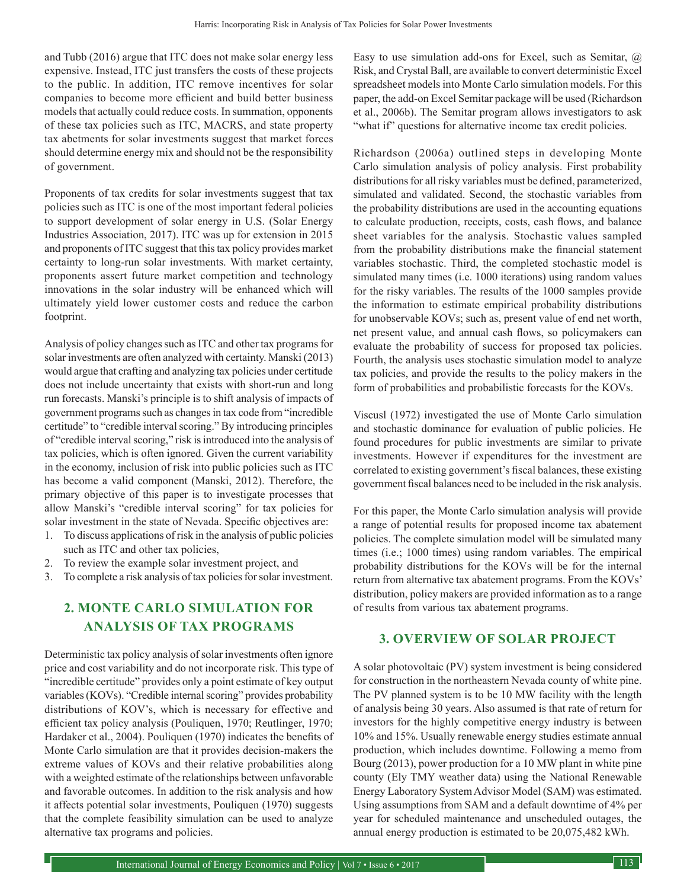and Tubb (2016) argue that ITC does not make solar energy less expensive. Instead, ITC just transfers the costs of these projects to the public. In addition, ITC remove incentives for solar companies to become more efficient and build better business models that actually could reduce costs. In summation, opponents of these tax policies such as ITC, MACRS, and state property tax abetments for solar investments suggest that market forces should determine energy mix and should not be the responsibility of government.

Proponents of tax credits for solar investments suggest that tax policies such as ITC is one of the most important federal policies to support development of solar energy in U.S. (Solar Energy Industries Association, 2017). ITC was up for extension in 2015 and proponents of ITC suggest that this tax policy provides market certainty to long-run solar investments. With market certainty, proponents assert future market competition and technology innovations in the solar industry will be enhanced which will ultimately yield lower customer costs and reduce the carbon footprint.

Analysis of policy changes such as ITC and other tax programs for solar investments are often analyzed with certainty. Manski (2013) would argue that crafting and analyzing tax policies under certitude does not include uncertainty that exists with short-run and long run forecasts. Manski's principle is to shift analysis of impacts of government programs such as changes in tax code from "incredible certitude" to "credible interval scoring." By introducing principles of "credible interval scoring," risk is introduced into the analysis of tax policies, which is often ignored. Given the current variability in the economy, inclusion of risk into public policies such as ITC has become a valid component (Manski, 2012). Therefore, the primary objective of this paper is to investigate processes that allow Manski's "credible interval scoring" for tax policies for solar investment in the state of Nevada. Specific objectives are:

- 1. To discuss applications of risk in the analysis of public policies such as ITC and other tax policies,
- 2. To review the example solar investment project, and
- 3. To complete a risk analysis of tax policies for solar investment.

## **2. MONTE CARLO SIMULATION FOR ANALYSIS OF TAX PROGRAMS**

Deterministic tax policy analysis of solar investments often ignore price and cost variability and do not incorporate risk. This type of "incredible certitude" provides only a point estimate of key output variables (KOVs). "Credible internal scoring" provides probability distributions of KOV's, which is necessary for effective and efficient tax policy analysis (Pouliquen, 1970; Reutlinger, 1970; Hardaker et al., 2004). Pouliquen (1970) indicates the benefits of Monte Carlo simulation are that it provides decision-makers the extreme values of KOVs and their relative probabilities along with a weighted estimate of the relationships between unfavorable and favorable outcomes. In addition to the risk analysis and how it affects potential solar investments, Pouliquen (1970) suggests that the complete feasibility simulation can be used to analyze alternative tax programs and policies.

Easy to use simulation add-ons for Excel, such as Semitar, @ Risk, and Crystal Ball, are available to convert deterministic Excel spreadsheet models into Monte Carlo simulation models. For this paper, the add-on Excel Semitar package will be used (Richardson et al., 2006b). The Semitar program allows investigators to ask "what if" questions for alternative income tax credit policies.

Richardson (2006a) outlined steps in developing Monte Carlo simulation analysis of policy analysis. First probability distributions for all risky variables must be defined, parameterized, simulated and validated. Second, the stochastic variables from the probability distributions are used in the accounting equations to calculate production, receipts, costs, cash flows, and balance sheet variables for the analysis. Stochastic values sampled from the probability distributions make the financial statement variables stochastic. Third, the completed stochastic model is simulated many times (i.e. 1000 iterations) using random values for the risky variables. The results of the 1000 samples provide the information to estimate empirical probability distributions for unobservable KOVs; such as, present value of end net worth, net present value, and annual cash flows, so policymakers can evaluate the probability of success for proposed tax policies. Fourth, the analysis uses stochastic simulation model to analyze tax policies, and provide the results to the policy makers in the form of probabilities and probabilistic forecasts for the KOVs.

Viscusl (1972) investigated the use of Monte Carlo simulation and stochastic dominance for evaluation of public policies. He found procedures for public investments are similar to private investments. However if expenditures for the investment are correlated to existing government's fiscal balances, these existing government fiscal balances need to be included in the risk analysis.

For this paper, the Monte Carlo simulation analysis will provide a range of potential results for proposed income tax abatement policies. The complete simulation model will be simulated many times (i.e.; 1000 times) using random variables. The empirical probability distributions for the KOVs will be for the internal return from alternative tax abatement programs. From the KOVs' distribution, policy makers are provided information as to a range of results from various tax abatement programs.

## **3. OVERVIEW OF SOLAR PROJECT**

A solar photovoltaic (PV) system investment is being considered for construction in the northeastern Nevada county of white pine. The PV planned system is to be 10 MW facility with the length of analysis being 30 years. Also assumed is that rate of return for investors for the highly competitive energy industry is between 10% and 15%. Usually renewable energy studies estimate annual production, which includes downtime. Following a memo from Bourg (2013), power production for a 10 MW plant in white pine county (Ely TMY weather data) using the National Renewable Energy Laboratory System Advisor Model (SAM) was estimated. Using assumptions from SAM and a default downtime of 4% per year for scheduled maintenance and unscheduled outages, the annual energy production is estimated to be 20,075,482 kWh.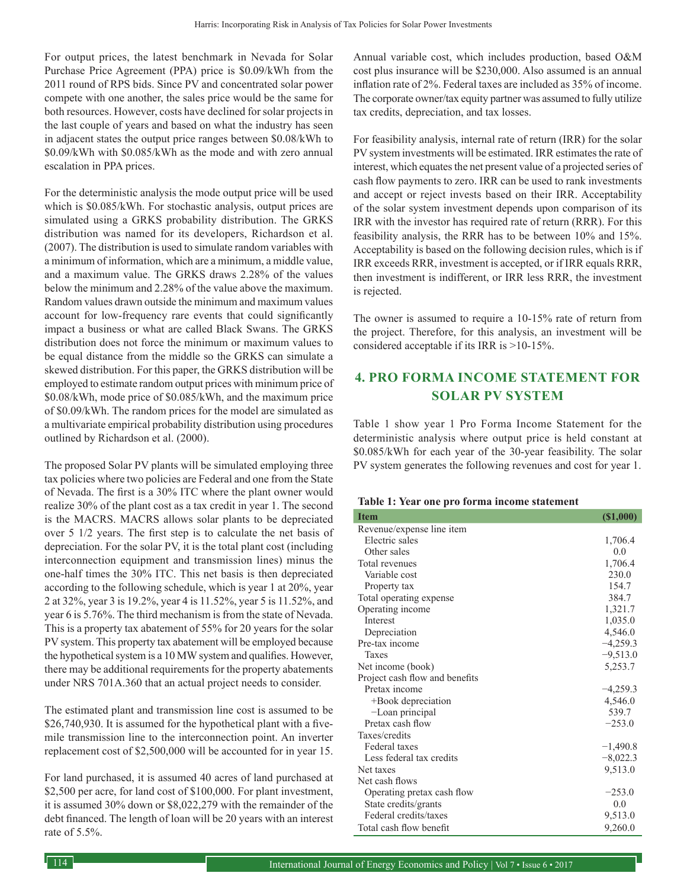For output prices, the latest benchmark in Nevada for Solar Purchase Price Agreement (PPA) price is \$0.09/kWh from the 2011 round of RPS bids. Since PV and concentrated solar power compete with one another, the sales price would be the same for both resources. However, costs have declined for solar projects in the last couple of years and based on what the industry has seen in adjacent states the output price ranges between \$0.08/kWh to \$0.09/kWh with \$0.085/kWh as the mode and with zero annual escalation in PPA prices.

For the deterministic analysis the mode output price will be used which is  $$0.085/kWh$ . For stochastic analysis, output prices are simulated using a GRKS probability distribution. The GRKS distribution was named for its developers, Richardson et al. (2007). The distribution is used to simulate random variables with a minimum of information, which are a minimum, a middle value, and a maximum value. The GRKS draws 2.28% of the values below the minimum and 2.28% of the value above the maximum. Random values drawn outside the minimum and maximum values account for low-frequency rare events that could significantly impact a business or what are called Black Swans. The GRKS distribution does not force the minimum or maximum values to be equal distance from the middle so the GRKS can simulate a skewed distribution. For this paper, the GRKS distribution will be employed to estimate random output prices with minimum price of \$0.08/kWh, mode price of \$0.085/kWh, and the maximum price of \$0.09/kWh. The random prices for the model are simulated as a multivariate empirical probability distribution using procedures outlined by Richardson et al. (2000).

The proposed Solar PV plants will be simulated employing three tax policies where two policies are Federal and one from the State of Nevada. The first is a 30% ITC where the plant owner would realize 30% of the plant cost as a tax credit in year 1. The second is the MACRS. MACRS allows solar plants to be depreciated over 5 1/2 years. The first step is to calculate the net basis of depreciation. For the solar PV, it is the total plant cost (including interconnection equipment and transmission lines) minus the one-half times the 30% ITC. This net basis is then depreciated according to the following schedule, which is year 1 at 20%, year 2 at 32%, year 3 is 19.2%, year 4 is 11.52%, year 5 is 11.52%, and year 6 is 5.76%. The third mechanism is from the state of Nevada. This is a property tax abatement of 55% for 20 years for the solar PV system. This property tax abatement will be employed because the hypothetical system is a 10 MW system and qualifies. However, there may be additional requirements for the property abatements under NRS 701A.360 that an actual project needs to consider.

The estimated plant and transmission line cost is assumed to be \$26,740,930. It is assumed for the hypothetical plant with a fivemile transmission line to the interconnection point. An inverter replacement cost of \$2,500,000 will be accounted for in year 15.

For land purchased, it is assumed 40 acres of land purchased at \$2,500 per acre, for land cost of \$100,000. For plant investment, it is assumed 30% down or \$8,022,279 with the remainder of the debt financed. The length of loan will be 20 years with an interest rate of 5.5%.

Annual variable cost, which includes production, based O&M cost plus insurance will be \$230,000. Also assumed is an annual inflation rate of 2%. Federal taxes are included as 35% of income. The corporate owner/tax equity partner was assumed to fully utilize tax credits, depreciation, and tax losses.

For feasibility analysis, internal rate of return (IRR) for the solar PV system investments will be estimated. IRR estimates the rate of interest, which equates the net present value of a projected series of cash flow payments to zero. IRR can be used to rank investments and accept or reject invests based on their IRR. Acceptability of the solar system investment depends upon comparison of its IRR with the investor has required rate of return (RRR). For this feasibility analysis, the RRR has to be between 10% and 15%. Acceptability is based on the following decision rules, which is if IRR exceeds RRR, investment is accepted, or if IRR equals RRR, then investment is indifferent, or IRR less RRR, the investment is rejected.

The owner is assumed to require a 10-15% rate of return from the project. Therefore, for this analysis, an investment will be considered acceptable if its IRR is >10-15%.

# **4. PRO FORMA INCOME STATEMENT FOR SOLAR PV SYSTEM**

Table 1 show year 1 Pro Forma Income Statement for the deterministic analysis where output price is held constant at \$0.085/kWh for each year of the 30-year feasibility. The solar PV system generates the following revenues and cost for year 1.

#### **Table 1: Year one pro forma income statement**

| <b>Item</b>                    | (S1,000)   |
|--------------------------------|------------|
| Revenue/expense line item      |            |
| Electric sales                 | 1,706.4    |
| Other sales                    | 0.0        |
| Total revenues                 | 1,706.4    |
| Variable cost                  | 230.0      |
| Property tax                   | 154.7      |
| Total operating expense        | 384.7      |
| Operating income               | 1,321.7    |
| Interest                       | 1,035.0    |
| Depreciation                   | 4,546.0    |
| Pre-tax income                 | $-4,259.3$ |
| Taxes                          | $-9,513.0$ |
| Net income (book)              | 5,253.7    |
| Project cash flow and benefits |            |
| Pretax income                  | $-4,259.3$ |
| +Book depreciation             | 4,546.0    |
| -Loan principal                | 539.7      |
| Pretax cash flow               | $-253.0$   |
| Taxes/credits                  |            |
| Federal taxes                  | $-1,490.8$ |
| Less federal tax credits       | $-8,022.3$ |
| Net taxes                      | 9,513.0    |
| Net cash flows                 |            |
| Operating pretax cash flow     | $-253.0$   |
| State credits/grants           | 0.0        |
| Federal credits/taxes          | 9,513.0    |
| Total cash flow benefit        | 9,260.0    |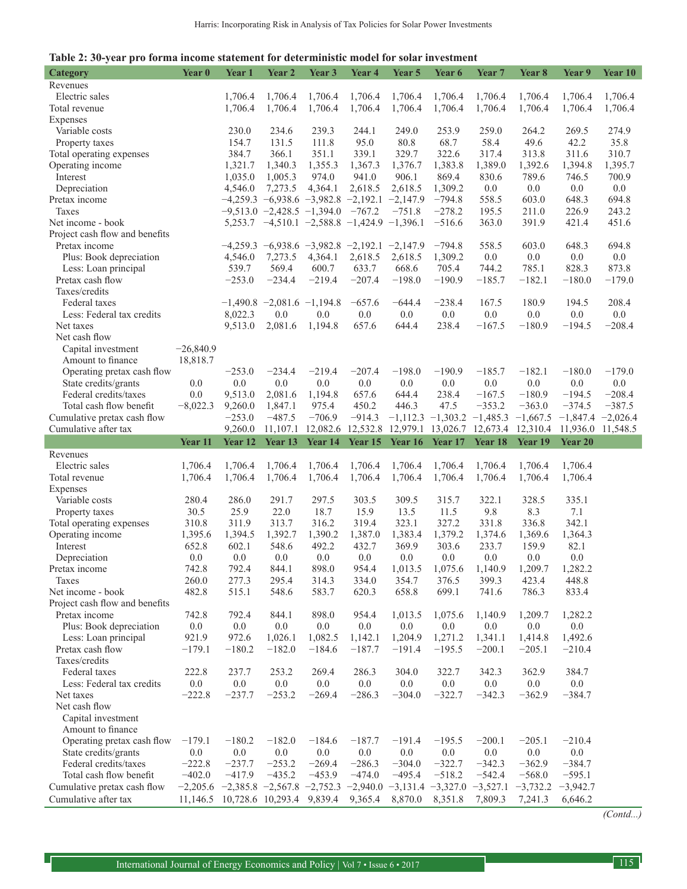| <b>Category</b>                                     | Year 0                                                                                                             | Year <sub>1</sub> | Year 2                           | Year 3          | Year <sub>4</sub>                              | Year <sub>5</sub> | Year 6                           | Year <sub>7</sub>     | Year 8                | Year 9                | Year 10  |
|-----------------------------------------------------|--------------------------------------------------------------------------------------------------------------------|-------------------|----------------------------------|-----------------|------------------------------------------------|-------------------|----------------------------------|-----------------------|-----------------------|-----------------------|----------|
| Revenues                                            |                                                                                                                    |                   |                                  |                 |                                                |                   |                                  |                       |                       |                       |          |
| Electric sales                                      |                                                                                                                    | 1,706.4           | 1,706.4                          | 1,706.4         | 1,706.4                                        | 1,706.4           | 1,706.4                          | 1.706.4               | 1,706.4               | 1,706.4               | 1,706.4  |
| Total revenue                                       |                                                                                                                    | 1,706.4           | 1,706.4                          | 1,706.4         | 1,706.4                                        | 1,706.4           | 1,706.4                          | 1,706.4               | 1,706.4               | 1,706.4               | 1,706.4  |
| Expenses                                            |                                                                                                                    |                   |                                  |                 |                                                |                   |                                  |                       |                       |                       |          |
| Variable costs                                      |                                                                                                                    | 230.0             | 234.6                            | 239.3           | 244.1                                          | 249.0             | 253.9                            | 259.0                 | 264.2                 | 269.5                 | 274.9    |
| Property taxes                                      |                                                                                                                    | 154.7             | 131.5                            | 111.8           | 95.0                                           | 80.8              | 68.7                             | 58.4                  | 49.6                  | 42.2                  | 35.8     |
| Total operating expenses                            |                                                                                                                    | 384.7             | 366.1                            | 351.1           | 339.1                                          | 329.7             | 322.6                            | 317.4                 | 313.8                 | 311.6                 | 310.7    |
| Operating income                                    |                                                                                                                    | 1,321.7           | 1,340.3                          | 1,355.3         | 1,367.3                                        | 1,376.7           | 1,383.8                          | 1,389.0               | 1,392.6               | 1,394.8               | 1,395.7  |
| Interest                                            |                                                                                                                    | 1,035.0           | 1,005.3                          | 974.0           | 941.0                                          | 906.1             | 869.4                            | 830.6                 | 789.6                 | 746.5                 | 700.9    |
| Depreciation                                        |                                                                                                                    | 4,546.0           | 7,273.5                          | 4,364.1         | 2,618.5                                        | 2,618.5           | 1,309.2                          | 0.0                   | 0.0                   | 0.0                   | 0.0      |
| Pretax income                                       |                                                                                                                    |                   |                                  |                 | $-4,259.3 -6,938.6 -3,982.8 -2,192.1$          | $-2,147.9$        | $-794.8$                         | 558.5                 | 603.0                 | 648.3                 | 694.8    |
| Taxes                                               |                                                                                                                    |                   | $-9,513.0 -2,428.5 -1,394.0$     |                 | $-767.2$                                       | $-751.8$          | $-278.2$                         | 195.5                 | 211.0                 | 226.9                 | 243.2    |
| Net income - book                                   |                                                                                                                    |                   |                                  |                 | $5,253.7 -4,510.1 -2,588.8 -1,424.9 -1,396.1$  |                   | $-516.6$                         | 363.0                 | 391.9                 | 421.4                 | 451.6    |
| Project cash flow and benefits                      |                                                                                                                    |                   |                                  |                 |                                                |                   |                                  |                       |                       |                       |          |
| Pretax income                                       |                                                                                                                    |                   |                                  |                 | $-4,259.3 -6,938.6 -3,982.8 -2,192.1 -2,147.9$ |                   | $-794.8$                         | 558.5                 | 603.0                 | 648.3                 | 694.8    |
| Plus: Book depreciation                             |                                                                                                                    | 4,546.0           | 7,273.5                          | 4,364.1         | 2,618.5                                        | 2,618.5           | 1,309.2                          | 0.0                   | 0.0                   | 0.0                   | 0.0      |
| Less: Loan principal                                |                                                                                                                    | 539.7             | 569.4                            | 600.7           | 633.7                                          | 668.6             | 705.4                            | 744.2                 | 785.1                 | 828.3                 | 873.8    |
| Pretax cash flow                                    |                                                                                                                    | $-253.0$          | $-234.4$                         | $-219.4$        | $-207.4$                                       | $-198.0$          | $-190.9$                         | $-185.7$              | $-182.1$              | $-180.0$              | $-179.0$ |
| Taxes/credits                                       |                                                                                                                    |                   |                                  |                 |                                                |                   |                                  |                       |                       |                       |          |
| Federal taxes                                       |                                                                                                                    |                   | $-1,490.8$ $-2,081.6$ $-1,194.8$ |                 | $-657.6$                                       | $-644.4$          | $-238.4$                         | 167.5                 | 180.9                 | 194.5                 | 208.4    |
| Less: Federal tax credits                           |                                                                                                                    | 8,022.3           | 0.0                              | 0.0             | 0.0                                            | 0.0               | 0.0                              | 0.0                   | 0.0                   | 0.0                   | 0.0      |
| Net taxes                                           |                                                                                                                    | 9,513.0           | 2,081.6                          | 1,194.8         | 657.6                                          | 644.4             | 238.4                            | $-167.5$              | $-180.9$              | $-194.5$              | $-208.4$ |
| Net cash flow                                       |                                                                                                                    |                   |                                  |                 |                                                |                   |                                  |                       |                       |                       |          |
| Capital investment                                  | $-26,840.9$                                                                                                        |                   |                                  |                 |                                                |                   |                                  |                       |                       |                       |          |
| Amount to finance                                   | 18,818.7                                                                                                           |                   |                                  |                 |                                                |                   |                                  |                       |                       |                       |          |
| Operating pretax cash flow                          |                                                                                                                    | $-253.0$          | $-234.4$                         | $-219.4$        | $-207.4$                                       | $-198.0$          | $-190.9$                         | $-185.7$              | $-182.1$              | $-180.0$              | $-179.0$ |
| State credits/grants                                | 0.0                                                                                                                | 0.0               | 0.0                              | 0.0             | 0.0                                            | 0.0               | 0.0                              | 0.0                   | 0.0                   | 0.0                   | 0.0      |
| Federal credits/taxes                               | 0.0                                                                                                                | 9,513.0           | 2,081.6                          | 1,194.8         | 657.6                                          | 644.4             | 238.4                            | $-167.5$              | $-180.9$              | $-194.5$              | $-208.4$ |
| Total cash flow benefit                             | $-8,022.3$                                                                                                         | 9,260.0           | 1,847.1                          | 975.4           | 450.2                                          | 446.3             | 47.5                             | $-353.2$              | $-363.0$              | $-374.5$              | $-387.5$ |
| Cumulative pretax cash flow                         |                                                                                                                    | $-253.0$          | $-487.5$                         | $-706.9$        | $-914.3$                                       |                   | $-1,112.3$ $-1,303.2$ $-1,485.3$ |                       | $-1,667.5$            | $-1,847.4 -2,026.4$   |          |
| Cumulative after tax                                |                                                                                                                    | 9,260.0           | 11,107.1                         | 12,082.6        | 12,532.8                                       | 12,979.1          | 13,026.7                         | 12,673.4              | 12,310.4              | 11,936.0 11,548.5     |          |
|                                                     |                                                                                                                    |                   |                                  |                 |                                                |                   |                                  |                       |                       |                       |          |
|                                                     | Year 11                                                                                                            | Year 12           | Year 13                          |                 |                                                |                   |                                  |                       | Year 19               | Year 20               |          |
|                                                     |                                                                                                                    |                   |                                  |                 | Year 14 Year 15 Year 16                        |                   | Year 17                          | Year 18               |                       |                       |          |
| Revenues                                            |                                                                                                                    |                   |                                  |                 |                                                |                   |                                  |                       |                       |                       |          |
| Electric sales                                      | 1,706.4                                                                                                            | 1,706.4           | 1,706.4                          | 1,706.4         | 1,706.4                                        | 1,706.4           | 1,706.4                          | 1,706.4               | 1,706.4               | 1,706.4               |          |
| Total revenue                                       | 1,706.4                                                                                                            | 1,706.4           | 1,706.4                          | 1,706.4         | 1,706.4                                        | 1,706.4           | 1,706.4                          | 1,706.4               | 1,706.4               | 1,706.4               |          |
| Expenses                                            |                                                                                                                    |                   |                                  |                 |                                                |                   |                                  |                       |                       |                       |          |
| Variable costs                                      | 280.4                                                                                                              | 286.0             | 291.7                            | 297.5           | 303.5                                          | 309.5             | 315.7                            | 322.1                 | 328.5                 | 335.1                 |          |
| Property taxes                                      | 30.5                                                                                                               | 25.9              | 22.0                             | 18.7            | 15.9                                           | 13.5<br>323.1     | 11.5                             | 9.8                   | 8.3                   | 7.1<br>342.1          |          |
| Total operating expenses                            | 310.8                                                                                                              | 311.9             | 313.7                            | 316.2           | 319.4                                          |                   | 327.2                            | 331.8                 | 336.8<br>1,369.6      |                       |          |
| Operating income                                    | 1,395.6                                                                                                            | 1,394.5           | 1,392.7                          | 1,390.2         | 1,387.0                                        | 1,383.4           | 1,379.2                          | 1,374.6               |                       | 1,364.3               |          |
| Interest                                            | 652.8                                                                                                              | 602.1             | 548.6                            | 492.2           | 432.7                                          | 369.9             | 303.6                            | 233.7                 | 159.9                 | 82.1                  |          |
| Depreciation                                        | 0.0                                                                                                                | 0.0               | 0.0                              | 0.0             | 0.0                                            | 0.0               | 0.0                              | 0.0                   | 0.0                   | 0.0                   |          |
| Pretax income                                       | 742.8                                                                                                              | 792.4             | 844.1                            | 898.0           | 954.4                                          |                   | 1,013.5 1,075.6 1,140.9          |                       | 1,209.7               | 1,282.2               |          |
| Taxes                                               | 260.0                                                                                                              | 277.3             | 295.4                            | 314.3           | 334.0                                          | 354.7             | 376.5                            | 399.3                 | 423.4                 | 448.8                 |          |
| Net income - book                                   | 482.8                                                                                                              | 515.1             | 548.6                            | 583.7           | 620.3                                          | 658.8             | 699.1                            | 741.6                 | 786.3                 | 833.4                 |          |
| Project cash flow and benefits                      |                                                                                                                    |                   |                                  |                 |                                                |                   |                                  |                       | 1,209.7               |                       |          |
| Pretax income                                       | 742.8                                                                                                              | 792.4             | 844.1                            | 898.0           | 954.4                                          | 1,013.5           | 1,075.6                          | 1,140.9               |                       | 1,282.2               |          |
| Plus: Book depreciation                             | 0.0                                                                                                                | 0.0               | 0.0                              | 0.0             | 0.0                                            | 0.0               | 0.0                              | 0.0                   | 0.0                   | 0.0                   |          |
| Less: Loan principal                                | 921.9                                                                                                              | 972.6             | 1,026.1                          | 1,082.5         | 1,142.1                                        | 1,204.9           | 1,271.2                          | 1,341.1               | 1,414.8               | 1,492.6               |          |
| Pretax cash flow                                    | $-179.1$                                                                                                           | $-180.2$          | $-182.0$                         | $-184.6$        | $-187.7$                                       | $-191.4$          | $-195.5$                         | $-200.1$              | $-205.1$              | $-210.4$              |          |
| Taxes/credits<br>Federal taxes                      |                                                                                                                    |                   |                                  |                 |                                                |                   |                                  |                       |                       |                       |          |
|                                                     | 222.8                                                                                                              | 237.7             | 253.2                            | 269.4           | 286.3                                          | 304.0             | 322.7                            | 342.3                 | 362.9                 | 384.7                 |          |
| Less: Federal tax credits<br>Net taxes              | 0.0<br>$-222.8$                                                                                                    | 0.0<br>$-237.7$   | 0.0<br>$-253.2$                  | 0.0<br>$-269.4$ | 0.0<br>$-286.3$                                | 0.0<br>$-304.0$   | 0.0<br>$-322.7$                  | 0.0<br>$-342.3$       | 0.0<br>$-362.9$       | 0.0                   |          |
| Net cash flow                                       |                                                                                                                    |                   |                                  |                 |                                                |                   |                                  |                       |                       | $-384.7$              |          |
|                                                     |                                                                                                                    |                   |                                  |                 |                                                |                   |                                  |                       |                       |                       |          |
| Capital investment                                  |                                                                                                                    |                   |                                  |                 |                                                |                   |                                  |                       |                       |                       |          |
| Amount to finance                                   |                                                                                                                    |                   |                                  |                 |                                                |                   |                                  |                       |                       |                       |          |
| Operating pretax cash flow                          | $-179.1$                                                                                                           | $-180.2$          | $-182.0$                         | $-184.6$        | $-187.7$                                       | $-191.4$          | $-195.5$                         | $-200.1$              | $-205.1$              | $-210.4$              |          |
| State credits/grants                                | 0.0                                                                                                                | $0.0\,$           | $0.0\,$                          | $0.0\,$         | $0.0\,$                                        | 0.0               | 0.0                              | $0.0\,$               | 0.0                   | 0.0                   |          |
| Federal credits/taxes                               | $-222.8$                                                                                                           | $-237.7$          | $-253.2$                         | $-269.4$        | $-286.3$                                       | $-304.0$          | $-322.7$                         | $-342.3$              | $-362.9$              | $-384.7$              |          |
| Total cash flow benefit                             | $-402.0$                                                                                                           | $-417.9$          | $-435.2$                         | $-453.9$        | $-474.0$                                       | $-495.4$          | $-518.2$                         | $-542.4$              | $-568.0$              | $-595.1$              |          |
| Cumulative pretax cash flow<br>Cumulative after tax | $-2,205.6$ $-2,385.8$ $-2,567.8$ $-2,752.3$ $-2,940.0$ $-3,131.4$ $-3,327.0$<br>11,146.5 10,728.6 10,293.4 9,839.4 |                   |                                  |                 | 9,365.4                                        | 8,870.0           | 8,351.8                          | $-3,527.1$<br>7,809.3 | $-3,732.2$<br>7,241.3 | $-3,942.7$<br>6,646.2 |          |

*(Contd...)*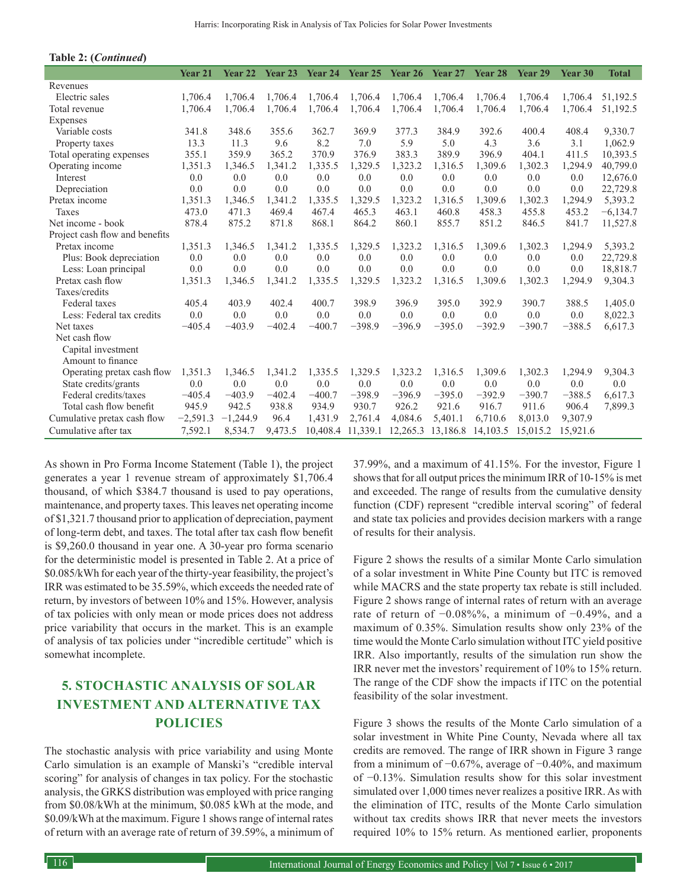| Table 2: (Continued)           |            |                    |          |          |                   |          |          |          |          |          |              |
|--------------------------------|------------|--------------------|----------|----------|-------------------|----------|----------|----------|----------|----------|--------------|
|                                | Year 21    | Year <sub>22</sub> | Year 23  | Year 24  | Year 25           | Year 26  | Year 27  | Year 28  | Year 29  | Year 30  | <b>Total</b> |
| Revenues                       |            |                    |          |          |                   |          |          |          |          |          |              |
| Electric sales                 | 1,706.4    | 1.706.4            | 1.706.4  | 1,706.4  | 1.706.4           | 1,706.4  | 1.706.4  | 1.706.4  | 1,706.4  | 1,706.4  | 51,192.5     |
| Total revenue                  | 1,706.4    | 1,706.4            | 1,706.4  | 1,706.4  | 1,706.4           | 1,706.4  | 1,706.4  | 1,706.4  | 1,706.4  | 1,706.4  | 51,192.5     |
| Expenses                       |            |                    |          |          |                   |          |          |          |          |          |              |
| Variable costs                 | 341.8      | 348.6              | 355.6    | 362.7    | 369.9             | 377.3    | 384.9    | 392.6    | 400.4    | 408.4    | 9,330.7      |
| Property taxes                 | 13.3       | 11.3               | 9.6      | 8.2      | 7.0               | 5.9      | 5.0      | 4.3      | 3.6      | 3.1      | 1,062.9      |
| Total operating expenses       | 355.1      | 359.9              | 365.2    | 370.9    | 376.9             | 383.3    | 389.9    | 396.9    | 404.1    | 411.5    | 10,393.5     |
| Operating income               | 1,351.3    | 1,346.5            | 1,341.2  | 1,335.5  | 1,329.5           | 1,323.2  | 1,316.5  | 1,309.6  | 1,302.3  | 1,294.9  | 40,799.0     |
| Interest                       | 0.0        | 0.0                | 0.0      | 0.0      | 0.0               | 0.0      | 0.0      | 0.0      | 0.0      | 0.0      | 12,676.0     |
| Depreciation                   | 0.0        | 0.0                | 0.0      | 0.0      | 0.0               | 0.0      | 0.0      | 0.0      | 0.0      | 0.0      | 22,729.8     |
| Pretax income                  | 1,351.3    | 1,346.5            | 1,341.2  | 1,335.5  | 1,329.5           | 1,323.2  | 1,316.5  | 1,309.6  | 1,302.3  | 1,294.9  | 5,393.2      |
| Taxes                          | 473.0      | 471.3              | 469.4    | 467.4    | 465.3             | 463.1    | 460.8    | 458.3    | 455.8    | 453.2    | $-6,134.7$   |
| Net income - book              | 878.4      | 875.2              | 871.8    | 868.1    | 864.2             | 860.1    | 855.7    | 851.2    | 846.5    | 841.7    | 11,527.8     |
| Project cash flow and benefits |            |                    |          |          |                   |          |          |          |          |          |              |
| Pretax income                  | 1,351.3    | 1,346.5            | 1,341.2  | 1,335.5  | 1,329.5           | 1,323.2  | 1,316.5  | 1,309.6  | 1,302.3  | 1,294.9  | 5,393.2      |
| Plus: Book depreciation        | 0.0        | 0.0                | 0.0      | 0.0      | 0.0               | 0.0      | 0.0      | 0.0      | 0.0      | 0.0      | 22,729.8     |
| Less: Loan principal           | 0.0        | 0.0                | 0.0      | 0.0      | 0.0               | 0.0      | 0.0      | 0.0      | 0.0      | 0.0      | 18,818.7     |
| Pretax cash flow               | 1,351.3    | 1,346.5            | 1,341.2  | 1,335.5  | 1,329.5           | 1,323.2  | 1,316.5  | 1,309.6  | 1,302.3  | 1,294.9  | 9,304.3      |
| Taxes/credits                  |            |                    |          |          |                   |          |          |          |          |          |              |
| Federal taxes                  | 405.4      | 403.9              | 402.4    | 400.7    | 398.9             | 396.9    | 395.0    | 392.9    | 390.7    | 388.5    | 1,405.0      |
| Less: Federal tax credits      | 0.0        | 0.0                | 0.0      | 0.0      | 0.0               | 0.0      | 0.0      | 0.0      | 0.0      | 0.0      | 8,022.3      |
| Net taxes                      | $-405.4$   | $-403.9$           | $-402.4$ | $-400.7$ | $-398.9$          | $-396.9$ | $-395.0$ | $-392.9$ | $-390.7$ | $-388.5$ | 6,617.3      |
| Net cash flow                  |            |                    |          |          |                   |          |          |          |          |          |              |
| Capital investment             |            |                    |          |          |                   |          |          |          |          |          |              |
| Amount to finance              |            |                    |          |          |                   |          |          |          |          |          |              |
| Operating pretax cash flow     | 1,351.3    | 1,346.5            | 1,341.2  | 1,335.5  | 1,329.5           | 1,323.2  | 1,316.5  | 1,309.6  | 1,302.3  | 1,294.9  | 9,304.3      |
| State credits/grants           | 0.0        | 0.0                | 0.0      | 0.0      | 0.0               | 0.0      | 0.0      | 0.0      | 0.0      | 0.0      | 0.0          |
| Federal credits/taxes          | $-405.4$   | $-403.9$           | $-402.4$ | $-400.7$ | $-398.9$          | $-396.9$ | $-395.0$ | $-392.9$ | $-390.7$ | $-388.5$ | 6,617.3      |
| Total cash flow benefit        | 945.9      | 942.5              | 938.8    | 934.9    | 930.7             | 926.2    | 921.6    | 916.7    | 911.6    | 906.4    | 7,899.3      |
| Cumulative pretax cash flow    | $-2,591.3$ | $-1,244.9$         | 96.4     | 1,431.9  | 2,761.4           | 4,084.6  | 5,401.1  | 6,710.6  | 8,013.0  | 9,307.9  |              |
| Cumulative after tax           | 7,592.1    | 8,534.7            | 9,473.5  |          | 10,408.4 11,339.1 | 12,265.3 | 13,186.8 | 14,103.5 | 15,015.2 | 15,921.6 |              |

As shown in Pro Forma Income Statement (Table 1), the project generates a year 1 revenue stream of approximately \$1,706.4 thousand, of which \$384.7 thousand is used to pay operations, maintenance, and property taxes. This leaves net operating income of \$1,321.7 thousand prior to application of depreciation, payment of long-term debt, and taxes. The total after tax cash flow benefit is \$9,260.0 thousand in year one. A 30-year pro forma scenario for the deterministic model is presented in Table 2. At a price of \$0.085/kWh for each year of the thirty-year feasibility, the project's IRR was estimated to be 35.59%, which exceeds the needed rate of return, by investors of between 10% and 15%. However, analysis of tax policies with only mean or mode prices does not address price variability that occurs in the market. This is an example of analysis of tax policies under "incredible certitude" which is somewhat incomplete.

# **5. STOCHASTIC ANALYSIS OF SOLAR INVESTMENT AND ALTERNATIVE TAX POLICIES**

The stochastic analysis with price variability and using Monte Carlo simulation is an example of Manski's "credible interval scoring" for analysis of changes in tax policy. For the stochastic analysis, the GRKS distribution was employed with price ranging from \$0.08/kWh at the minimum, \$0.085 kWh at the mode, and \$0.09/kWh at the maximum. Figure 1 shows range of internal rates of return with an average rate of return of 39.59%, a minimum of 37.99%, and a maximum of 41.15%. For the investor, Figure 1 shows that for all output prices the minimum IRR of 10-15% is met and exceeded. The range of results from the cumulative density function (CDF) represent "credible interval scoring" of federal and state tax policies and provides decision markers with a range of results for their analysis.

Figure 2 shows the results of a similar Monte Carlo simulation of a solar investment in White Pine County but ITC is removed while MACRS and the state property tax rebate is still included. Figure 2 shows range of internal rates of return with an average rate of return of −0.08%%, a minimum of −0.49%, and a maximum of 0.35%. Simulation results show only 23% of the time would the Monte Carlo simulation without ITC yield positive IRR. Also importantly, results of the simulation run show the IRR never met the investors' requirement of 10% to 15% return. The range of the CDF show the impacts if ITC on the potential feasibility of the solar investment.

Figure 3 shows the results of the Monte Carlo simulation of a solar investment in White Pine County, Nevada where all tax credits are removed. The range of IRR shown in Figure 3 range from a minimum of −0.67%, average of −0.40%, and maximum of −0.13%. Simulation results show for this solar investment simulated over 1,000 times never realizes a positive IRR. As with the elimination of ITC, results of the Monte Carlo simulation without tax credits shows IRR that never meets the investors required 10% to 15% return. As mentioned earlier, proponents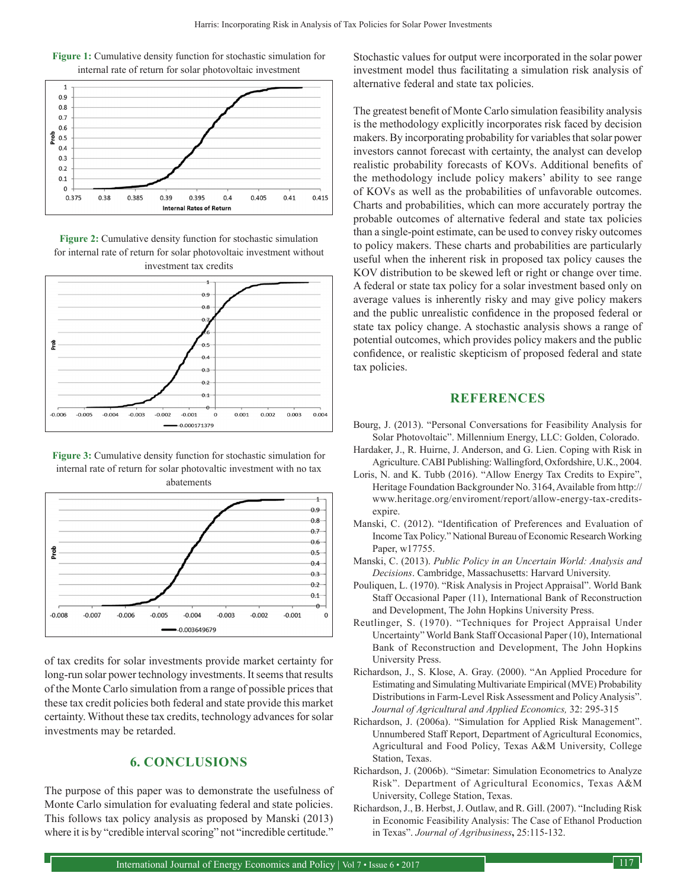

**Figure 1:** Cumulative density function for stochastic simulation for internal rate of return for solar photovoltaic investment

**Figure 2:** Cumulative density function for stochastic simulation for internal rate of return for solar photovoltaic investment without investment tax credits



**Figure 3:** Cumulative density function for stochastic simulation for internal rate of return for solar photovaltic investment with no tax abatements



of tax credits for solar investments provide market certainty for long-run solar power technology investments. It seems that results of the Monte Carlo simulation from a range of possible prices that these tax credit policies both federal and state provide this market certainty. Without these tax credits, technology advances for solar investments may be retarded.

#### **6. CONCLUSIONS**

The purpose of this paper was to demonstrate the usefulness of Monte Carlo simulation for evaluating federal and state policies. This follows tax policy analysis as proposed by Manski (2013) where it is by "credible interval scoring" not "incredible certitude."

Stochastic values for output were incorporated in the solar power investment model thus facilitating a simulation risk analysis of alternative federal and state tax policies.

The greatest benefit of Monte Carlo simulation feasibility analysis is the methodology explicitly incorporates risk faced by decision makers. By incorporating probability for variables that solar power investors cannot forecast with certainty, the analyst can develop realistic probability forecasts of KOVs. Additional benefits of the methodology include policy makers' ability to see range of KOVs as well as the probabilities of unfavorable outcomes. Charts and probabilities, which can more accurately portray the probable outcomes of alternative federal and state tax policies than a single-point estimate, can be used to convey risky outcomes to policy makers. These charts and probabilities are particularly useful when the inherent risk in proposed tax policy causes the KOV distribution to be skewed left or right or change over time. A federal or state tax policy for a solar investment based only on average values is inherently risky and may give policy makers and the public unrealistic confidence in the proposed federal or state tax policy change. A stochastic analysis shows a range of potential outcomes, which provides policy makers and the public confidence, or realistic skepticism of proposed federal and state tax policies.

#### **REFERENCES**

- Bourg, J. (2013). "Personal Conversations for Feasibility Analysis for Solar Photovoltaic". Millennium Energy, LLC: Golden, Colorado.
- Hardaker, J., R. Huirne, J. Anderson, and G. Lien. Coping with Risk in Agriculture. CABI Publishing: Wallingford, Oxfordshire, U.K., 2004.
- Loris, N. and K. Tubb (2016). "Allow Energy Tax Credits to Expire", Heritage Foundation Backgrounder No. 3164, Available from http:// www.heritage.org/enviroment/report/allow-energy-tax-creditsexpire
- Manski, C. (2012). "Identification of Preferences and Evaluation of Income Tax Policy." National Bureau of Economic Research Working Paper, w17755.
- Manski, C. (2013). *Public Policy in an Uncertain World: Analysis and Decisions*. Cambridge, Massachusetts: Harvard University.
- Pouliquen, L. (1970). "Risk Analysis in Project Appraisal". World Bank Staff Occasional Paper (11), International Bank of Reconstruction and Development, The John Hopkins University Press.
- Reutlinger, S. (1970). "Techniques for Project Appraisal Under Uncertainty" World Bank Staff Occasional Paper (10), International Bank of Reconstruction and Development, The John Hopkins University Press.
- Richardson, J., S. Klose, A. Gray. (2000). "An Applied Procedure for Estimating and Simulating Multivariate Empirical (MVE) Probability Distributions in Farm-Level Risk Assessment and Policy Analysis". *Journal of Agricultural and Applied Economics,* 32: 295-315
- Richardson, J. (2006a). "Simulation for Applied Risk Management". Unnumbered Staff Report, Department of Agricultural Economics, Agricultural and Food Policy, Texas A&M University, College Station, Texas.
- Richardson, J. (2006b). "Simetar: Simulation Econometrics to Analyze Risk". Department of Agricultural Economics, Texas A&M University, College Station, Texas.
- Richardson, J., B. Herbst, J. Outlaw, and R. Gill. (2007). "Including Risk in Economic Feasibility Analysis: The Case of Ethanol Production in Texas". *Journal of Agribusiness***,** 25:115-132.